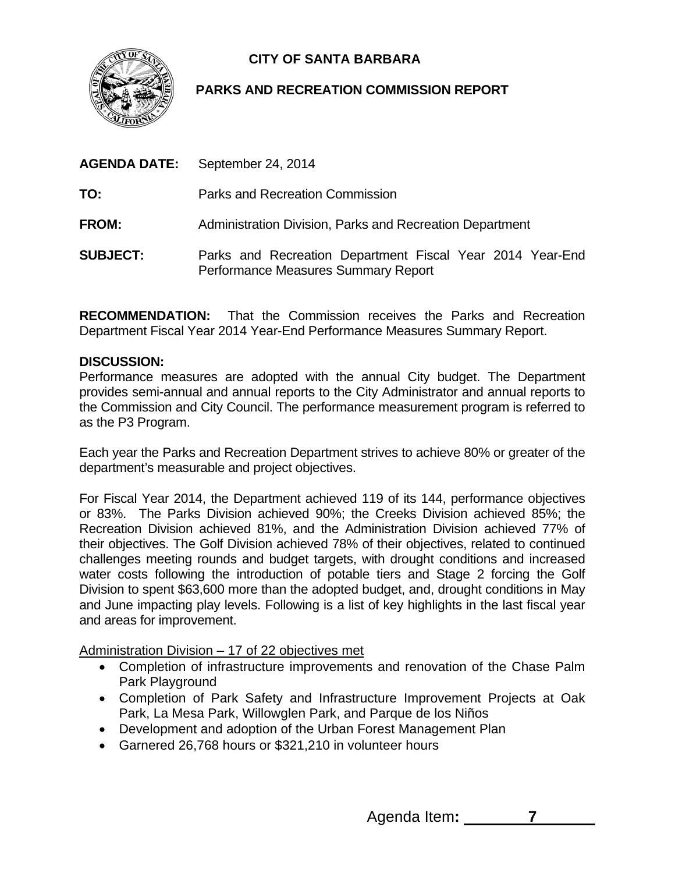

## **CITY OF SANTA BARBARA**

## **PARKS AND RECREATION COMMISSION REPORT**

| <b>AGENDA DATE:</b> | September 24, 2014                                                                               |
|---------------------|--------------------------------------------------------------------------------------------------|
| TO:                 | Parks and Recreation Commission                                                                  |
| <b>FROM:</b>        | Administration Division, Parks and Recreation Department                                         |
| <b>SUBJECT:</b>     | Parks and Recreation Department Fiscal Year 2014 Year-End<br>Performance Measures Summary Report |

**RECOMMENDATION:** That the Commission receives the Parks and Recreation Department Fiscal Year 2014 Year-End Performance Measures Summary Report.

## **DISCUSSION:**

Performance measures are adopted with the annual City budget. The Department provides semi-annual and annual reports to the City Administrator and annual reports to the Commission and City Council. The performance measurement program is referred to as the P3 Program.

Each year the Parks and Recreation Department strives to achieve 80% or greater of the department's measurable and project objectives.

For Fiscal Year 2014, the Department achieved 119 of its 144, performance objectives or 83%. The Parks Division achieved 90%; the Creeks Division achieved 85%; the Recreation Division achieved 81%, and the Administration Division achieved 77% of their objectives. The Golf Division achieved 78% of their objectives, related to continued challenges meeting rounds and budget targets, with drought conditions and increased water costs following the introduction of potable tiers and Stage 2 forcing the Golf Division to spent \$63,600 more than the adopted budget, and, drought conditions in May and June impacting play levels. Following is a list of key highlights in the last fiscal year and areas for improvement.

Administration Division – 17 of 22 objectives met

- Completion of infrastructure improvements and renovation of the Chase Palm Park Playground
- Completion of Park Safety and Infrastructure Improvement Projects at Oak Park, La Mesa Park, Willowglen Park, and Parque de los Niños
- Development and adoption of the Urban Forest Management Plan
- Garnered 26,768 hours or \$321,210 in volunteer hours

Agenda Item**: 7**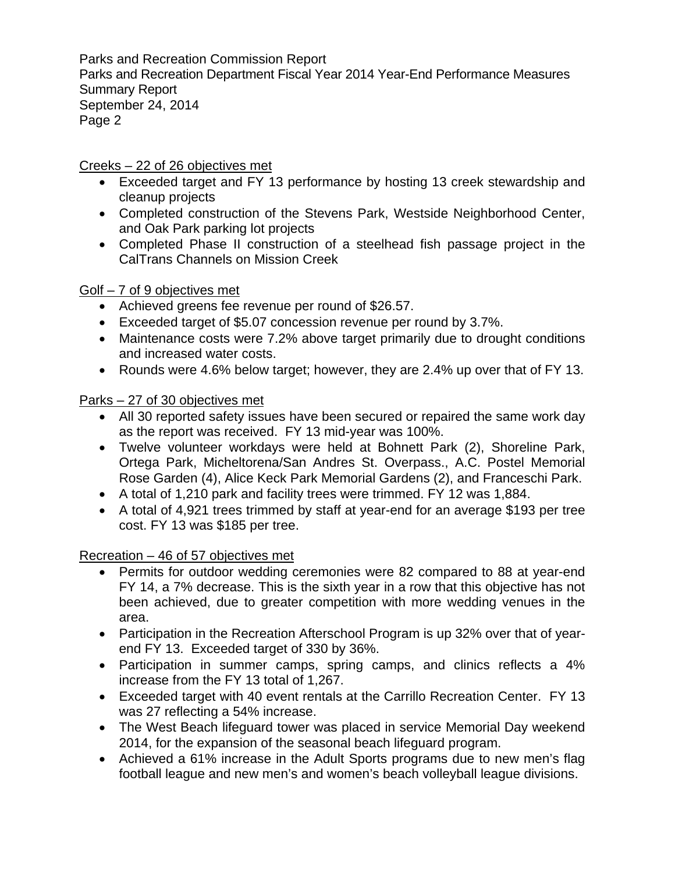Parks and Recreation Commission Report Parks and Recreation Department Fiscal Year 2014 Year-End Performance Measures Summary Report September 24, 2014 Page 2

Creeks – 22 of 26 objectives met

- Exceeded target and FY 13 performance by hosting 13 creek stewardship and cleanup projects
- Completed construction of the Stevens Park, Westside Neighborhood Center, and Oak Park parking lot projects
- Completed Phase II construction of a steelhead fish passage project in the CalTrans Channels on Mission Creek

Golf – 7 of 9 objectives met

- Achieved greens fee revenue per round of \$26.57.
- Exceeded target of \$5.07 concession revenue per round by 3.7%.
- Maintenance costs were 7.2% above target primarily due to drought conditions and increased water costs.
- Rounds were 4.6% below target; however, they are 2.4% up over that of FY 13.

Parks – 27 of 30 objectives met

- All 30 reported safety issues have been secured or repaired the same work day as the report was received. FY 13 mid-year was 100%.
- Twelve volunteer workdays were held at Bohnett Park (2), Shoreline Park, Ortega Park, Micheltorena/San Andres St. Overpass., A.C. Postel Memorial Rose Garden (4), Alice Keck Park Memorial Gardens (2), and Franceschi Park.
- A total of 1,210 park and facility trees were trimmed. FY 12 was 1,884.
- A total of 4,921 trees trimmed by staff at year-end for an average \$193 per tree cost. FY 13 was \$185 per tree.

Recreation – 46 of 57 objectives met

- Permits for outdoor wedding ceremonies were 82 compared to 88 at year-end FY 14, a 7% decrease. This is the sixth year in a row that this objective has not been achieved, due to greater competition with more wedding venues in the area.
- Participation in the Recreation Afterschool Program is up 32% over that of yearend FY 13. Exceeded target of 330 by 36%.
- Participation in summer camps, spring camps, and clinics reflects a 4% increase from the FY 13 total of 1,267.
- Exceeded target with 40 event rentals at the Carrillo Recreation Center. FY 13 was 27 reflecting a 54% increase.
- The West Beach lifeguard tower was placed in service Memorial Day weekend 2014, for the expansion of the seasonal beach lifeguard program.
- Achieved a 61% increase in the Adult Sports programs due to new men's flag football league and new men's and women's beach volleyball league divisions.